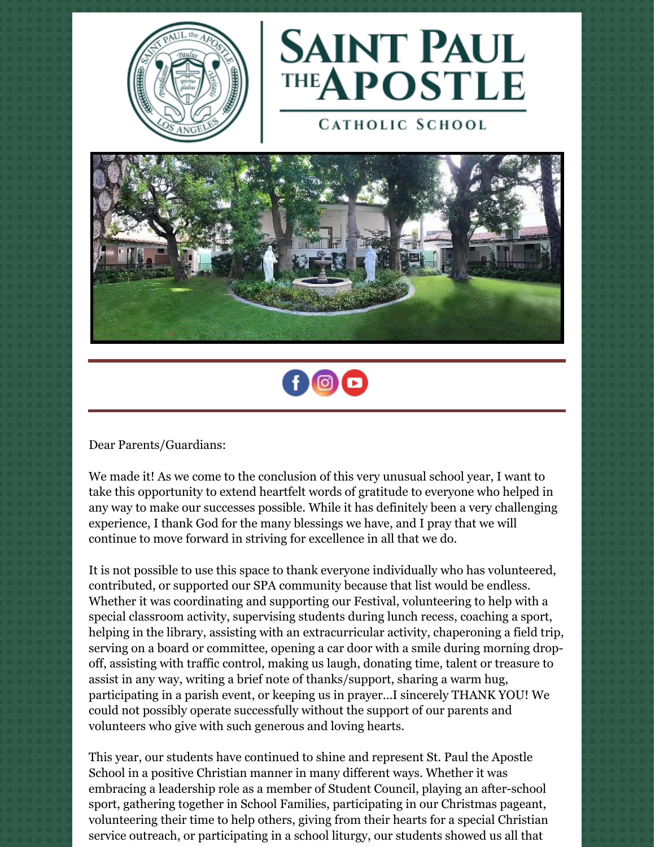



**CATHOLIC SCHOOL** 





Dear Parents/Guardians:

We made it! As we come to the conclusion of this very unusual school year, I want to take this opportunity to extend heartfelt words of gratitude to everyone who helped in any way to make our successes possible. While it has definitely been a very challenging experience, I thank God for the many blessings we have, and I pray that we will continue to move forward in striving for excellence in all that we do.

It is not possible to use this space to thank everyone individually who has volunteered, contributed, or supported our SPA community because that list would be endless. Whether it was coordinating and supporting our Festival, volunteering to help with a special classroom activity, supervising students during lunch recess, coaching a sport, helping in the library, assisting with an extracurricular activity, chaperoning a field trip, serving on a board or committee, opening a car door with a smile during morning dropoff, assisting with traffic control, making us laugh, donating time, talent or treasure to assist in any way, writing a brief note of thanks/support, sharing a warm hug, participating in a parish event, or keeping us in prayer…I sincerely THANK YOU! We could not possibly operate successfully without the support of our parents and volunteers who give with such generous and loving hearts.

This year, our students have continued to shine and represent St. Paul the Apostle School in a positive Christian manner in many different ways. Whether it was embracing a leadership role as a member of Student Council, playing an after-school sport, gathering together in School Families, participating in our Christmas pageant, volunteering their time to help others, giving from their hearts for a special Christian service outreach, or participating in a school liturgy, our students showed us all that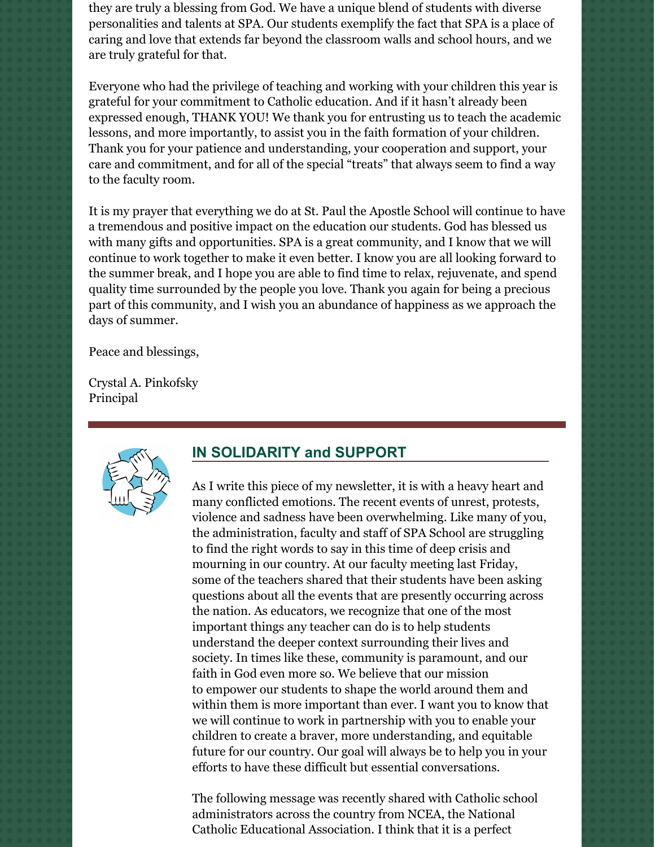they are truly a blessing from God. We have a unique blend of students with diverse personalities and talents at SPA. Our students exemplify the fact that SPA is a place of caring and love that extends far beyond the classroom walls and school hours, and we are truly grateful for that.

Everyone who had the privilege of teaching and working with your children this year is grateful for your commitment to Catholic education. And if it hasn't already been expressed enough, THANK YOU! We thank you for entrusting us to teach the academic lessons, and more importantly, to assist you in the faith formation of your children. Thank you for your patience and understanding, your cooperation and support, your care and commitment, and for all of the special "treats" that always seem to find a way to the faculty room.

It is my prayer that everything we do at St. Paul the Apostle School will continue to have a tremendous and positive impact on the education our students. God has blessed us with many gifts and opportunities. SPA is a great community, and I know that we will continue to work together to make it even better. I know you are all looking forward to the summer break, and I hope you are able to find time to relax, rejuvenate, and spend quality time surrounded by the people you love. Thank you again for being a precious part of this community, and I wish you an abundance of happiness as we approach the days of summer.

Peace and blessings,

Crystal A. Pinkofsky Principal



#### **IN SOLIDARITY and SUPPORT**

As I write this piece of my newsletter, it is with a heavy heart and many conflicted emotions. The recent events of unrest, protests, violence and sadness have been overwhelming. Like many of you, the administration, faculty and staff of SPA School are struggling to find the right words to say in this time of deep crisis and mourning in our country. At our faculty meeting last Friday, some of the teachers shared that their students have been asking questions about all the events that are presently occurring across the nation. As educators, we recognize that one of the most important things any teacher can do is to help students understand the deeper context surrounding their lives and society. In times like these, community is paramount, and our faith in God even more so. We believe that our mission to empower our students to shape the world around them and within them is more important than ever. I want you to know that we will continue to work in partnership with you to enable your children to create a braver, more understanding, and equitable future for our country. Our goal will always be to help you in your efforts to have these difficult but essential conversations.

The following message was recently shared with Catholic school administrators across the country from NCEA, the National Catholic Educational Association. I think that it is a perfect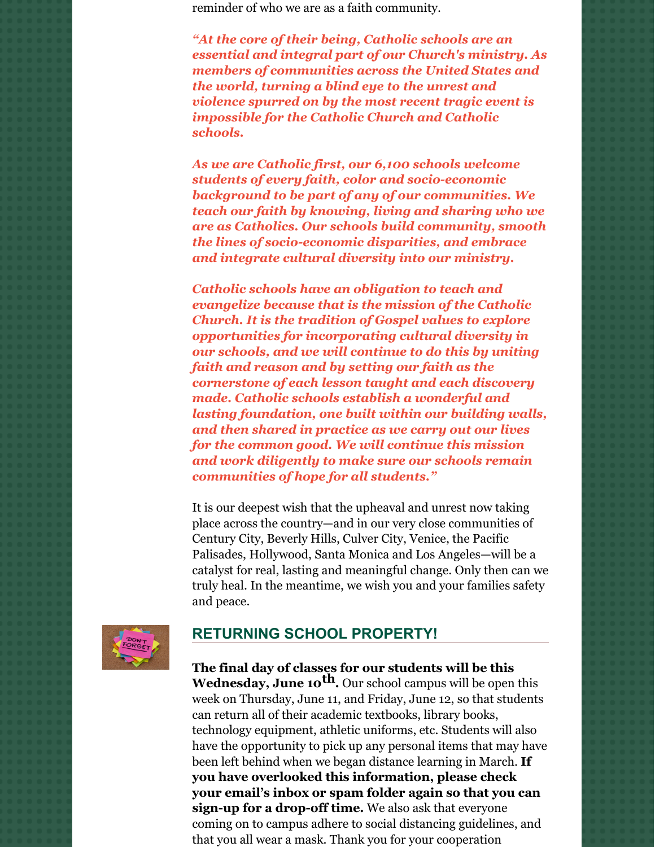reminder of who we are as a faith community.

*"At the core of their being, Catholic schools are an essential and integral part of our Church's ministry. As members of communities across the United States and the world, turning a blind eye to the unrest and violence spurred on by the most recent tragic event is impossible for the Catholic Church and Catholic schools.*

*As we are Catholic first, our 6,100 schools welcome students of every faith, color and socio-economic background to be part of any of our communities. We teach our faith by knowing, living and sharing who we are as Catholics. Our schools build community, smooth the lines of socio-economic disparities, and embrace and integrate cultural diversity into our ministry.*

*Catholic schools have an obligation to teach and evangelize because that is the mission of the Catholic Church. It is the tradition of Gospel values to explore opportunities for incorporating cultural diversity in our schools, and we will continue to do this by uniting faith and reason and by setting our faith as the cornerstone of each lesson taught and each discovery made. Catholic schools establish a wonderful and lasting foundation, one built within our building walls, and then shared in practice as we carry out our lives for the common good. We will continue this mission and work diligently to make sure our schools remain communities of hope for all students."*

It is our deepest wish that the upheaval and unrest now taking place across the country—and in our very close communities of Century City, Beverly Hills, Culver City, Venice, the Pacific Palisades, Hollywood, Santa Monica and Los Angeles—will be a catalyst for real, lasting and meaningful change. Only then can we truly heal. In the meantime, we wish you and your families safety and peace.



## **RETURNING SCHOOL PROPERTY!**

**The final day of classes for our students will be this Wednesday, June 10 th.** Our school campus will be open this week on Thursday, June 11, and Friday, June 12, so that students can return all of their academic textbooks, library books, technology equipment, athletic uniforms, etc. Students will also have the opportunity to pick up any personal items that may have been left behind when we began distance learning in March. **If you have overlooked this information, please check your email's inbox or spam folder again so that you can sign-up for a drop-off time.** We also ask that everyone coming on to campus adhere to social distancing guidelines, and that you all wear a mask. Thank you for your cooperation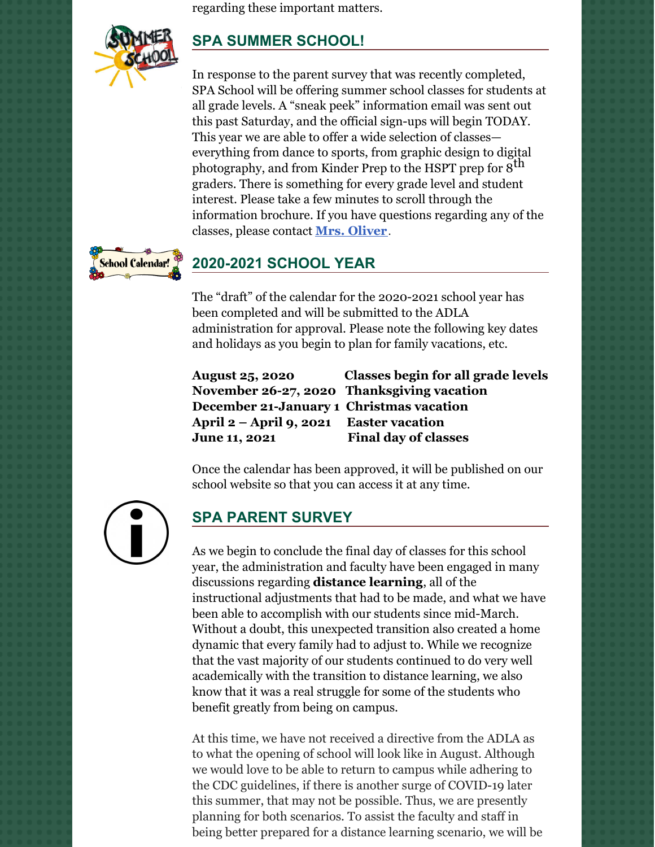regarding these important matters.



# **SPA SUMMER SCHOOL!**

In response to the parent survey that was recently completed, SPA School will be offering summer school classes for students at all grade levels. A "sneak peek" information email was sent out this past Saturday, and the official sign-ups will begin TODAY. This year we are able to offer a wide selection of classes everything from dance to sports, from graphic design to digital photography, and from Kinder Prep to the HSPT prep for 8<sup>th</sup> graders. There is something for every grade level and student interest. Please take a few minutes to scroll through the information brochure. If you have questions regarding any of the classes, please contact **Mrs. [Oliver](mailto:koliver@sp-apostle.org.)**.



## **2020-2021 SCHOOL YEAR**

The "draft" of the calendar for the 2020-2021 school year has been completed and will be submitted to the ADLA administration for approval. Please note the following key dates and holidays as you begin to plan for family vacations, etc.

**December 21-January 1 Christmas vacation April 2 – April 9, 2021 Easter vacation June 11, 2021 Final day of classes**

**August 25, 2020 Classes begin for all grade levels November 26-27, 2020 Thanksgiving vacation**

Once the calendar has been approved, it will be published on our school website so that you can access it at any time.



## **SPA PARENT SURVEY**

As we begin to conclude the final day of classes for this school year, the administration and faculty have been engaged in many discussions regarding **distance learning**, all of the instructional adjustments that had to be made, and what we have been able to accomplish with our students since mid-March. Without a doubt, this unexpected transition also created a home dynamic that every family had to adjust to. While we recognize that the vast majority of our students continued to do very well academically with the transition to distance learning, we also know that it was a real struggle for some of the students who benefit greatly from being on campus.

At this time, we have not received a directive from the ADLA as to what the opening of school will look like in August. Although we would love to be able to return to campus while adhering to the CDC guidelines, if there is another surge of COVID-19 later this summer, that may not be possible. Thus, we are presently planning for both scenarios. To assist the faculty and staff in being better prepared for a distance learning scenario, we will be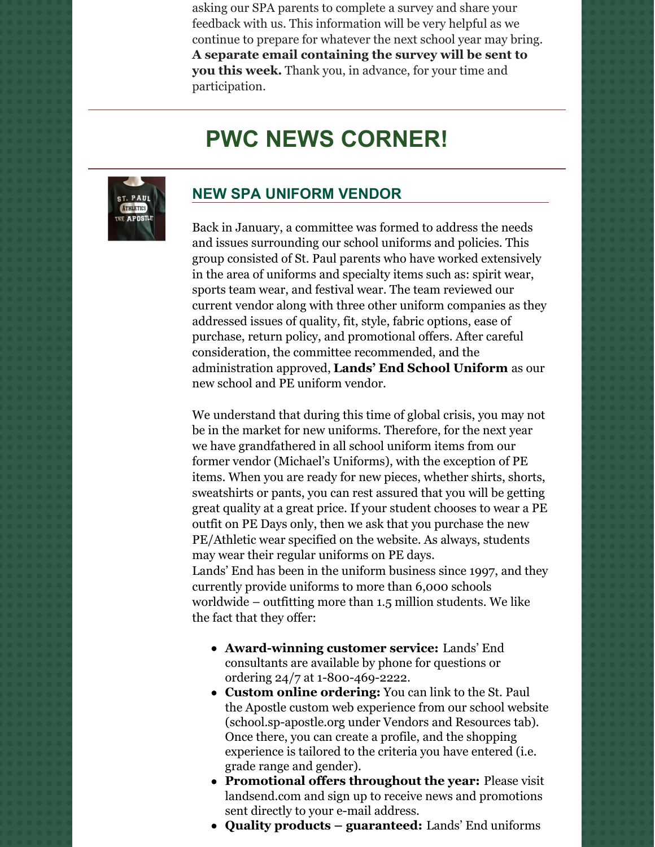asking our SPA parents to complete a survey and share your feedback with us. This information will be very helpful as we continue to prepare for whatever the next school year may bring. **A separate email containing the survey will be sent to you this week.** Thank you, in advance, for your time and participation.

# **PWC NEWS CORNER!**



### **NEW SPA UNIFORM VENDOR**

Back in January, a committee was formed to address the needs and issues surrounding our school uniforms and policies. This group consisted of St. Paul parents who have worked extensively in the area of uniforms and specialty items such as: spirit wear, sports team wear, and festival wear. The team reviewed our current vendor along with three other uniform companies as they addressed issues of quality, fit, style, fabric options, ease of purchase, return policy, and promotional offers. After careful consideration, the committee recommended, and the administration approved, **Lands' End School Uniform** as our new school and PE uniform vendor.

We understand that during this time of global crisis, you may not be in the market for new uniforms. Therefore, for the next year we have grandfathered in all school uniform items from our former vendor (Michael's Uniforms), with the exception of PE items. When you are ready for new pieces, whether shirts, shorts, sweatshirts or pants, you can rest assured that you will be getting great quality at a great price. If your student chooses to wear a PE outfit on PE Days only, then we ask that you purchase the new PE/Athletic wear specified on the website. As always, students may wear their regular uniforms on PE days. Lands' End has been in the uniform business since 1997, and they currently provide uniforms to more than 6,000 schools worldwide – outfitting more than 1.5 million students. We like the fact that they offer:

- **Award-winning customer service:** Lands' End consultants are available by phone for questions or ordering 24/7 at 1-800-469-2222.
- **Custom online ordering:** You can link to the St. Paul the Apostle custom web experience from our school website (school.sp-apostle.org under Vendors and Resources tab). Once there, you can create a profile, and the shopping experience is tailored to the criteria you have entered (i.e. grade range and gender).
- **Promotional offers throughout the year:** Please visit landsend.com and sign up to receive news and promotions sent directly to your e-mail address.
- **Quality products – guaranteed:** Lands' End uniforms